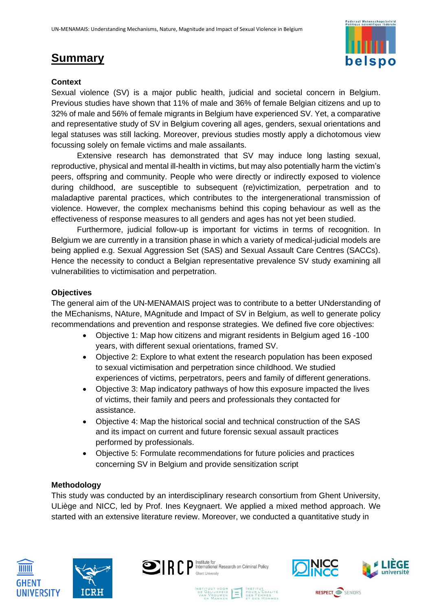# **Summary**



# **Context**

Sexual violence (SV) is a major public health, judicial and societal concern in Belgium. Previous studies have shown that 11% of male and 36% of female Belgian citizens and up to 32% of male and 56% of female migrants in Belgium have experienced SV. Yet, a comparative and representative study of SV in Belgium covering all ages, genders, sexual orientations and legal statuses was still lacking. Moreover, previous studies mostly apply a dichotomous view focussing solely on female victims and male assailants.

Extensive research has demonstrated that SV may induce long lasting sexual, reproductive, physical and mental ill-health in victims, but may also potentially harm the victim's peers, offspring and community. People who were directly or indirectly exposed to violence during childhood, are susceptible to subsequent (re)victimization, perpetration and to maladaptive parental practices, which contributes to the intergenerational transmission of violence. However, the complex mechanisms behind this coping behaviour as well as the effectiveness of response measures to all genders and ages has not yet been studied.

Furthermore, judicial follow-up is important for victims in terms of recognition. In Belgium we are currently in a transition phase in which a variety of medical-judicial models are being applied e.g. Sexual Aggression Set (SAS) and Sexual Assault Care Centres (SACCs). Hence the necessity to conduct a Belgian representative prevalence SV study examining all vulnerabilities to victimisation and perpetration.

## **Objectives**

The general aim of the UN-MENAMAIS project was to contribute to a better UNderstanding of the MEchanisms, NAture, MAgnitude and Impact of SV in Belgium, as well to generate policy recommendations and prevention and response strategies. We defined five core objectives:

- Objective 1: Map how citizens and migrant residents in Belgium aged 16 -100 years, with different sexual orientations, framed SV.
- Objective 2: Explore to what extent the research population has been exposed to sexual victimisation and perpetration since childhood. We studied experiences of victims, perpetrators, peers and family of different generations.
- Objective 3: Map indicatory pathways of how this exposure impacted the lives of victims, their family and peers and professionals they contacted for assistance.
- Objective 4: Map the historical social and technical construction of the SAS and its impact on current and future forensic sexual assault practices performed by professionals.
- Objective 5: Formulate recommendations for future policies and practices concerning SV in Belgium and provide sensitization script

## **Methodology**

This study was conducted by an interdisciplinary research consortium from Ghent University, ULiège and NICC, led by Prof. Ines Keygnaert. We applied a mixed method approach. We started with an extensive literature review. Moreover, we conducted a quantitative study in









**RESPECT** SENIORS

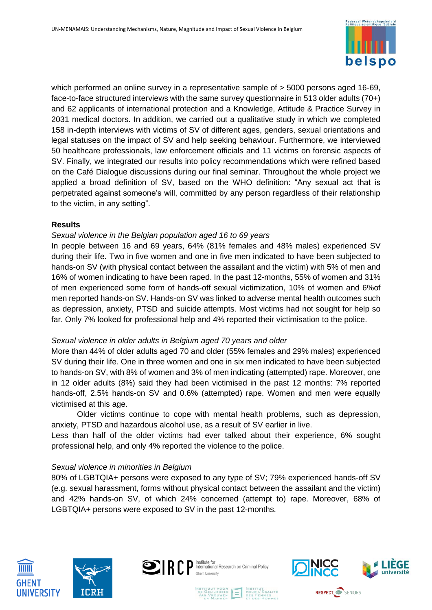

which performed an online survey in a representative sample of  $>$  5000 persons aged 16-69, face-to-face structured interviews with the same survey questionnaire in 513 older adults (70+) and 62 applicants of international protection and a Knowledge, Attitude & Practice Survey in 2031 medical doctors. In addition, we carried out a qualitative study in which we completed 158 in-depth interviews with victims of SV of different ages, genders, sexual orientations and legal statuses on the impact of SV and help seeking behaviour. Furthermore, we interviewed 50 healthcare professionals, law enforcement officials and 11 victims on forensic aspects of SV. Finally, we integrated our results into policy recommendations which were refined based on the Café Dialogue discussions during our final seminar. Throughout the whole project we applied a broad definition of SV, based on the WHO definition: "Any sexual act that is perpetrated against someone's will, committed by any person regardless of their relationship to the victim, in any setting".

## **Results**

#### *Sexual violence in the Belgian population aged 16 to 69 years*

In people between 16 and 69 years, 64% (81% females and 48% males) experienced SV during their life. Two in five women and one in five men indicated to have been subjected to hands-on SV (with physical contact between the assailant and the victim) with 5% of men and 16% of women indicating to have been raped. In the past 12-months, 55% of women and 31% of men experienced some form of hands-off sexual victimization, 10% of women and 6%of men reported hands-on SV. Hands-on SV was linked to adverse mental health outcomes such as depression, anxiety, PTSD and suicide attempts. Most victims had not sought for help so far. Only 7% looked for professional help and 4% reported their victimisation to the police.

#### *Sexual violence in older adults in Belgium aged 70 years and older*

More than 44% of older adults aged 70 and older (55% females and 29% males) experienced SV during their life. One in three women and one in six men indicated to have been subjected to hands-on SV, with 8% of women and 3% of men indicating (attempted) rape. Moreover, one in 12 older adults (8%) said they had been victimised in the past 12 months: 7% reported hands-off, 2.5% hands-on SV and 0.6% (attempted) rape. Women and men were equally victimised at this age.

Older victims continue to cope with mental health problems, such as depression, anxiety, PTSD and hazardous alcohol use, as a result of SV earlier in live.

Less than half of the older victims had ever talked about their experience, 6% sought professional help, and only 4% reported the violence to the police.

## *Sexual violence in minorities in Belgium*

80% of LGBTQIA+ persons were exposed to any type of SV; 79% experienced hands-off SV (e.g. sexual harassment, forms without physical contact between the assailant and the victim) and 42% hands-on SV, of which 24% concerned (attempt to) rape. Moreover, 68% of LGBTQIA+ persons were exposed to SV in the past 12-months.









**RESPECT SENIORS**